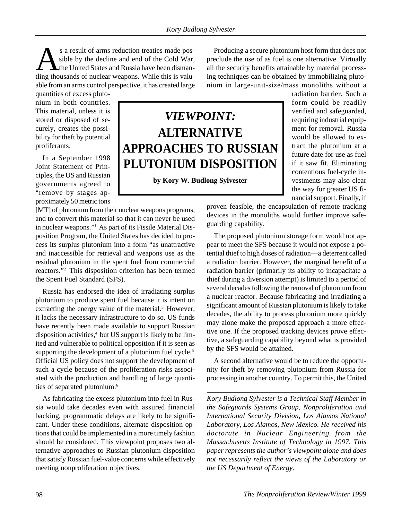s a result of arms reduction treaties made possible by the decline and end of the Cold War, the United States and Russia have been dismantling thousands of nuclear weapons. While this is valuable from an arms control perspective, it has created large

quantities of excess plutonium in both countries. This material, unless it is stored or disposed of securely, creates the possibility for theft by potential proliferants.

In a September 1998 Joint Statement of Principles, the US and Russian governments agreed to "remove by stages approximately 50 metric tons

[MT] of plutonium from their nuclear weapons programs, and to convert this material so that it can never be used in nuclear weapons."1 As part of its Fissile Material Disposition Program, the United States has decided to process its surplus plutonium into a form "as unattractive and inaccessible for retrieval and weapons use as the residual plutonium in the spent fuel from commercial reactors."2 This disposition criterion has been termed the Spent Fuel Standard (SFS).

Russia has endorsed the idea of irradiating surplus plutonium to produce spent fuel because it is intent on extracting the energy value of the material.<sup>3</sup> However, it lacks the necessary infrastructure to do so. US funds have recently been made available to support Russian disposition activities,<sup>4</sup> but US support is likely to be limited and vulnerable to political opposition if it is seen as supporting the development of a plutonium fuel cycle.<sup>5</sup> Official US policy does not support the development of such a cycle because of the proliferation risks associated with the production and handling of large quantities of separated plutonium.<sup>6</sup>

As fabricating the excess plutonium into fuel in Russia would take decades even with assured financial backing, programmatic delays are likely to be significant. Under these conditions, alternate disposition options that could be implemented in a more timely fashion should be considered. This viewpoint proposes two alternative approaches to Russian plutonium disposition that satisfy Russian fuel-value concerns while effectively meeting nonproliferation objectives.

Producing a secure plutonium host form that does not preclude the use of as fuel is one alternative. Virtually all the security benefits attainable by material processing techniques can be obtained by immobilizing plutonium in large-unit-size/mass monoliths without a

# *VIEWPOINT:* **ALTERNATIVE APPROACHES TO RUSSIAN PLUTONIUM DISPOSITION**

**by Kory W. Budlong Sylvester**

radiation barrier. Such a form could be readily verified and safeguarded, requiring industrial equipment for removal. Russia would be allowed to extract the plutonium at a future date for use as fuel if it saw fit. Eliminating contentious fuel-cycle investments may also clear the way for greater US financial support. Finally, if

proven feasible, the encapsulation of remote tracking devices in the monoliths would further improve safeguarding capability.

The proposed plutonium storage form would not appear to meet the SFS because it would not expose a potential thief to high doses of radiation—a deterrent called a radiation barrier. However, the marginal benefit of a radiation barrier (primarily its ability to incapacitate a thief during a diversion attempt) is limited to a period of several decades following the removal of plutonium from a nuclear reactor. Because fabricating and irradiating a significant amount of Russian plutonium is likely to take decades, the ability to process plutonium more quickly may alone make the proposed approach a more effective one. If the proposed tracking devices prove effective, a safeguarding capability beyond what is provided by the SFS would be attained.

A second alternative would be to reduce the opportunity for theft by removing plutonium from Russia for processing in another country. To permit this, the United

*Kory Budlong Sylvester is a Technical Staff Member in the Safeguards Systems Group, Nonproliferation and International Security Division, Los Alamos National Laboratory, Los Alamos, New Mexico. He received his doctorate in Nuclear Engineering from the Massachusetts Institute of Technology in 1997. This paper represents the author's viewpoint alone and does not necessarily reflect the views of the Laboratory or the US Department of Energy.*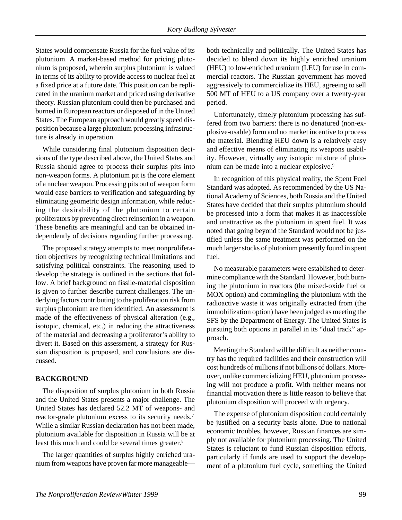States would compensate Russia for the fuel value of its plutonium. A market-based method for pricing plutonium is proposed, wherein surplus plutonium is valued in terms of its ability to provide access to nuclear fuel at a fixed price at a future date. This position can be replicated in the uranium market and priced using derivative theory. Russian plutonium could then be purchased and burned in European reactors or disposed of in the United States. The European approach would greatly speed disposition because a large plutonium processing infrastructure is already in operation.

While considering final plutonium disposition decisions of the type described above, the United States and Russia should agree to process their surplus pits into non-weapon forms. A plutonium pit is the core element of a nuclear weapon. Processing pits out of weapon form would ease barriers to verification and safeguarding by eliminating geometric design information, while reducing the desirability of the plutonium to certain proliferators by preventing direct reinsertion in a weapon. These benefits are meaningful and can be obtained independently of decisions regarding further processing.

The proposed strategy attempts to meet nonproliferation objectives by recognizing technical limitations and satisfying political constraints. The reasoning used to develop the strategy is outlined in the sections that follow. A brief background on fissile-material disposition is given to further describe current challenges. The underlying factors contributing to the proliferation risk from surplus plutonium are then identified. An assessment is made of the effectiveness of physical alteration (e.g., isotopic, chemical, etc.) in reducing the attractiveness of the material and decreasing a proliferator's ability to divert it. Based on this assessment, a strategy for Russian disposition is proposed, and conclusions are discussed.

# **BACKGROUND**

The disposition of surplus plutonium in both Russia and the United States presents a major challenge. The United States has declared 52.2 MT of weapons- and reactor-grade plutonium excess to its security needs.<sup>7</sup> While a similar Russian declaration has not been made, plutonium available for disposition in Russia will be at least this much and could be several times greater.<sup>8</sup>

The larger quantities of surplus highly enriched uranium from weapons have proven far more manageableboth technically and politically. The United States has decided to blend down its highly enriched uranium (HEU) to low-enriched uranium (LEU) for use in commercial reactors. The Russian government has moved aggressively to commercialize its HEU, agreeing to sell 500 MT of HEU to a US company over a twenty-year period.

Unfortunately, timely plutonium processing has suffered from two barriers: there is no denatured (non-explosive-usable) form and no market incentive to process the material. Blending HEU down is a relatively easy and effective means of eliminating its weapons usability. However, virtually any isotopic mixture of plutonium can be made into a nuclear explosive.<sup>9</sup>

In recognition of this physical reality, the Spent Fuel Standard was adopted. As recommended by the US National Academy of Sciences, both Russia and the United States have decided that their surplus plutonium should be processed into a form that makes it as inaccessible and unattractive as the plutonium in spent fuel. It was noted that going beyond the Standard would not be justified unless the same treatment was performed on the much larger stocks of plutonium presently found in spent fuel.

No measurable parameters were established to determine compliance with the Standard. However, both burning the plutonium in reactors (the mixed-oxide fuel or MOX option) and commingling the plutonium with the radioactive waste it was originally extracted from (the immobilization option) have been judged as meeting the SFS by the Department of Energy. The United States is pursuing both options in parallel in its "dual track" approach.

Meeting the Standard will be difficult as neither country has the required facilities and their construction will cost hundreds of millions if not billions of dollars. Moreover, unlike commercializing HEU, plutonium processing will not produce a profit. With neither means nor financial motivation there is little reason to believe that plutonium disposition will proceed with urgency.

The expense of plutonium disposition could certainly be justified on a security basis alone. Due to national economic troubles, however, Russian finances are simply not available for plutonium processing. The United States is reluctant to fund Russian disposition efforts, particularly if funds are used to support the development of a plutonium fuel cycle, something the United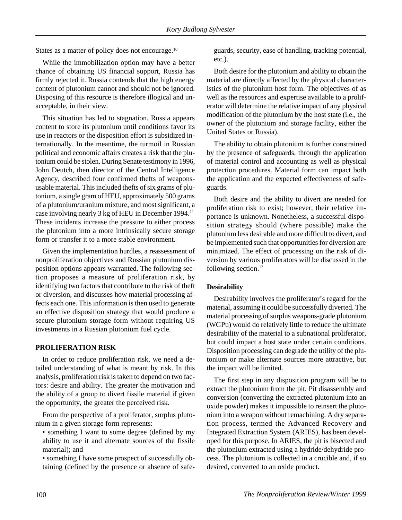States as a matter of policy does not encourage.<sup>10</sup>

While the immobilization option may have a better chance of obtaining US financial support, Russia has firmly rejected it. Russia contends that the high energy content of plutonium cannot and should not be ignored. Disposing of this resource is therefore illogical and unacceptable, in their view.

This situation has led to stagnation. Russia appears content to store its plutonium until conditions favor its use in reactors or the disposition effort is subsidized internationally. In the meantime, the turmoil in Russian political and economic affairs creates a risk that the plutonium could be stolen. During Senate testimony in 1996, John Deutch, then director of the Central Intelligence Agency, described four confirmed thefts of weaponsusable material. This included thefts of six grams of plutonium, a single gram of HEU, approximately 500 grams of a plutonium/uranium mixture, and most significant, a case involving nearly 3 kg of HEU in December 1994.11 These incidents increase the pressure to either process the plutonium into a more intrinsically secure storage form or transfer it to a more stable environment.

Given the implementation hurdles, a reassessment of nonproliferation objectives and Russian plutonium disposition options appears warranted. The following section proposes a measure of proliferation risk, by identifying two factors that contribute to the risk of theft or diversion, and discusses how material processing affects each one. This information is then used to generate an effective disposition strategy that would produce a secure plutonium storage form without requiring US investments in a Russian plutonium fuel cycle.

## **PROLIFERATION RISK**

In order to reduce proliferation risk, we need a detailed understanding of what is meant by risk. In this analysis, proliferation risk is taken to depend on two factors: desire and ability. The greater the motivation and the ability of a group to divert fissile material if given the opportunity, the greater the perceived risk.

From the perspective of a proliferator, surplus plutonium in a given storage form represents:

• something I want to some degree (defined by my ability to use it and alternate sources of the fissile material); and

• something I have some prospect of successfully obtaining (defined by the presence or absence of safeguards, security, ease of handling, tracking potential, etc.).

Both desire for the plutonium and ability to obtain the material are directly affected by the physical characteristics of the plutonium host form. The objectives of as well as the resources and expertise available to a proliferator will determine the relative impact of any physical modification of the plutonium by the host state (i.e., the owner of the plutonium and storage facility, either the United States or Russia).

The ability to obtain plutonium is further constrained by the presence of safeguards, through the application of material control and accounting as well as physical protection procedures. Material form can impact both the application and the expected effectiveness of safeguards.

Both desire and the ability to divert are needed for proliferation risk to exist; however, their relative importance is unknown. Nonetheless, a successful disposition strategy should (where possible) make the plutonium less desirable and more difficult to divert, and be implemented such that opportunities for diversion are minimized. The effect of processing on the risk of diversion by various proliferators will be discussed in the following section.<sup>12</sup>

## **Desirability**

Desirability involves the proliferator's regard for the material, assuming it could be successfully diverted. The material processing of surplus weapons-grade plutonium (WGPu) would do relatively little to reduce the ultimate desirability of the material to a subnational proliferator, but could impact a host state under certain conditions. Disposition processing can degrade the utility of the plutonium or make alternate sources more attractive, but the impact will be limited.

The first step in any disposition program will be to extract the plutonium from the pit. Pit disassembly and conversion (converting the extracted plutonium into an oxide powder) makes it impossible to reinsert the plutonium into a weapon without remachining. A dry separation process, termed the Advanced Recovery and Integrated Extraction System (ARIES), has been developed for this purpose. In ARIES, the pit is bisected and the plutonium extracted using a hydride/dehydride process. The plutonium is collected in a crucible and, if so desired, converted to an oxide product.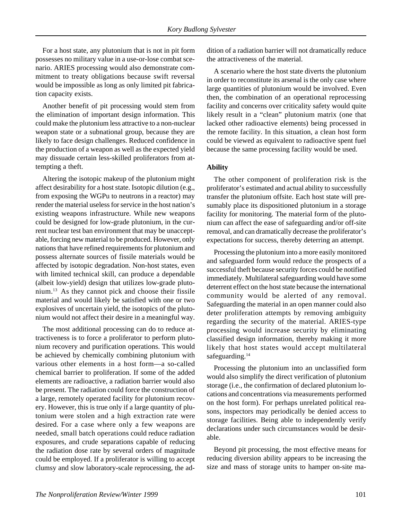For a host state, any plutonium that is not in pit form possesses no military value in a use-or-lose combat scenario. ARIES processing would also demonstrate commitment to treaty obligations because swift reversal would be impossible as long as only limited pit fabrication capacity exists.

Another benefit of pit processing would stem from the elimination of important design information. This could make the plutonium less attractive to a non-nuclear weapon state or a subnational group, because they are likely to face design challenges. Reduced confidence in the production of a weapon as well as the expected yield may dissuade certain less-skilled proliferators from attempting a theft.

Altering the isotopic makeup of the plutonium might affect desirability for a host state. Isotopic dilution (e.g., from exposing the WGPu to neutrons in a reactor) may render the material useless for service in the host nation's existing weapons infrastructure. While new weapons could be designed for low-grade plutonium, in the current nuclear test ban environment that may be unacceptable, forcing new material to be produced. However, only nations that have refined requirements for plutonium and possess alternate sources of fissile materials would be affected by isotopic degradation. Non-host states, even with limited technical skill, can produce a dependable (albeit low-yield) design that utilizes low-grade plutonium.13 As they cannot pick and choose their fissile material and would likely be satisfied with one or two explosives of uncertain yield, the isotopics of the plutonium would not affect their desire in a meaningful way.

The most additional processing can do to reduce attractiveness is to force a proliferator to perform plutonium recovery and purification operations. This would be achieved by chemically combining plutonium with various other elements in a host form—a so-called chemical barrier to proliferation. If some of the added elements are radioactive, a radiation barrier would also be present. The radiation could force the construction of a large, remotely operated facility for plutonium recovery. However, this is true only if a large quantity of plutonium were stolen and a high extraction rate were desired. For a case where only a few weapons are needed, small batch operations could reduce radiation exposures, and crude separations capable of reducing the radiation dose rate by several orders of magnitude could be employed. If a proliferator is willing to accept clumsy and slow laboratory-scale reprocessing, the addition of a radiation barrier will not dramatically reduce the attractiveness of the material.

A scenario where the host state diverts the plutonium in order to reconstitute its arsenal is the only case where large quantities of plutonium would be involved. Even then, the combination of an operational reprocessing facility and concerns over criticality safety would quite likely result in a "clean" plutonium matrix (one that lacked other radioactive elements) being processed in the remote facility. In this situation, a clean host form could be viewed as equivalent to radioactive spent fuel because the same processing facility would be used.

## **Ability**

The other component of proliferation risk is the proliferator's estimated and actual ability to successfully transfer the plutonium offsite. Each host state will presumably place its dispositioned plutonium in a storage facility for monitoring. The material form of the plutonium can affect the ease of safeguarding and/or off-site removal, and can dramatically decrease the proliferator's expectations for success, thereby deterring an attempt.

Processing the plutonium into a more easily monitored and safeguarded form would reduce the prospects of a successful theft because security forces could be notified immediately. Multilateral safeguarding would have some deterrent effect on the host state because the international community would be alerted of any removal. Safeguarding the material in an open manner could also deter proliferation attempts by removing ambiguity regarding the security of the material. ARIES-type processing would increase security by eliminating classified design information, thereby making it more likely that host states would accept multilateral safeguarding.<sup>14</sup>

Processing the plutonium into an unclassified form would also simplify the direct verification of plutonium storage (i.e., the confirmation of declared plutonium locations and concentrations via measurements performed on the host form). For perhaps unrelated political reasons, inspectors may periodically be denied access to storage facilities. Being able to independently verify declarations under such circumstances would be desirable.

Beyond pit processing, the most effective means for reducing diversion ability appears to be increasing the size and mass of storage units to hamper on-site ma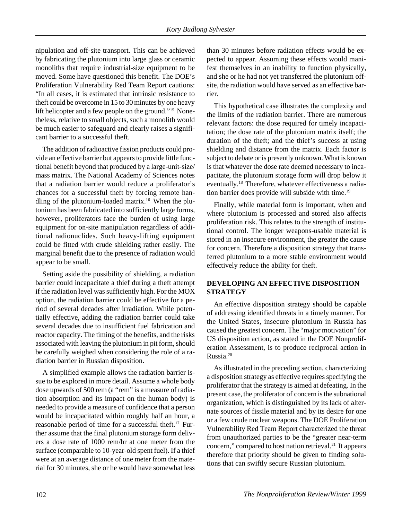nipulation and off-site transport. This can be achieved by fabricating the plutonium into large glass or ceramic monoliths that require industrial-size equipment to be moved. Some have questioned this benefit. The DOE's Proliferation Vulnerability Red Team Report cautions: "In all cases, it is estimated that intrinsic resistance to theft could be overcome in 15 to 30 minutes by one heavy lift helicopter and a few people on the ground."15 Nonetheless, relative to small objects, such a monolith would be much easier to safeguard and clearly raises a significant barrier to a successful theft.

The addition of radioactive fission products could provide an effective barrier but appears to provide little functional benefit beyond that produced by a large-unit-size/ mass matrix. The National Academy of Sciences notes that a radiation barrier would reduce a proliferator's chances for a successful theft by forcing remote handling of the plutonium-loaded matrix.<sup>16</sup> When the plutonium has been fabricated into sufficiently large forms, however, proliferators face the burden of using large equipment for on-site manipulation regardless of additional radionuclides. Such heavy-lifting equipment could be fitted with crude shielding rather easily. The marginal benefit due to the presence of radiation would appear to be small.

Setting aside the possibility of shielding, a radiation barrier could incapacitate a thief during a theft attempt if the radiation level was sufficiently high. For the MOX option, the radiation barrier could be effective for a period of several decades after irradiation. While potentially effective, adding the radiation barrier could take several decades due to insufficient fuel fabrication and reactor capacity. The timing of the benefits, and the risks associated with leaving the plutonium in pit form, should be carefully weighed when considering the role of a radiation barrier in Russian disposition.

A simplified example allows the radiation barrier issue to be explored in more detail. Assume a whole body dose upwards of 500 rem (a "rem" is a measure of radiation absorption and its impact on the human body) is needed to provide a measure of confidence that a person would be incapacitated within roughly half an hour, a reasonable period of time for a successful theft.17 Further assume that the final plutonium storage form delivers a dose rate of 1000 rem/hr at one meter from the surface (comparable to 10-year-old spent fuel). If a thief were at an average distance of one meter from the material for 30 minutes, she or he would have somewhat less than 30 minutes before radiation effects would be expected to appear. Assuming these effects would manifest themselves in an inability to function physically, and she or he had not yet transferred the plutonium offsite, the radiation would have served as an effective barrier.

This hypothetical case illustrates the complexity and the limits of the radiation barrier. There are numerous relevant factors: the dose required for timely incapacitation; the dose rate of the plutonium matrix itself; the duration of the theft; and the thief's success at using shielding and distance from the matrix. Each factor is subject to debate or is presently unknown. What is known is that whatever the dose rate deemed necessary to incapacitate, the plutonium storage form will drop below it eventually.18 Therefore, whatever effectiveness a radiation barrier does provide will subside with time.19

Finally, while material form is important, when and where plutonium is processed and stored also affects proliferation risk. This relates to the strength of institutional control. The longer weapons-usable material is stored in an insecure environment, the greater the cause for concern. Therefore a disposition strategy that transferred plutonium to a more stable environment would effectively reduce the ability for theft.

# **DEVELOPING AN EFFECTIVE DISPOSITION STRATEGY**

An effective disposition strategy should be capable of addressing identified threats in a timely manner. For the United States, insecure plutonium in Russia has caused the greatest concern. The "major motivation" for US disposition action, as stated in the DOE Nonproliferation Assessment, is to produce reciprocal action in Russia.20

As illustrated in the preceding section, characterizing a disposition strategy as effective requires specifying the proliferator that the strategy is aimed at defeating. In the present case, the proliferator of concern is the subnational organization, which is distinguished by its lack of alternate sources of fissile material and by its desire for one or a few crude nuclear weapons. The DOE Proliferation Vulnerability Red Team Report characterized the threat from unauthorized parties to be the "greater near-term concern," compared to host nation retrieval.21 It appears therefore that priority should be given to finding solutions that can swiftly secure Russian plutonium.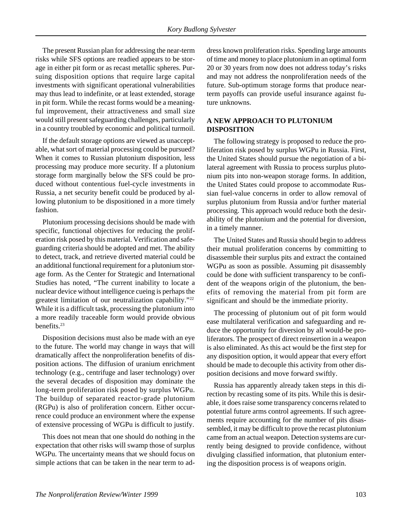The present Russian plan for addressing the near-term risks while SFS options are readied appears to be storage in either pit form or as recast metallic spheres. Pursuing disposition options that require large capital investments with significant operational vulnerabilities may thus lead to indefinite, or at least extended, storage in pit form. While the recast forms would be a meaningful improvement, their attractiveness and small size would still present safeguarding challenges, particularly in a country troubled by economic and political turmoil.

If the default storage options are viewed as unacceptable, what sort of material processing could be pursued? When it comes to Russian plutonium disposition, less processing may produce more security. If a plutonium storage form marginally below the SFS could be produced without contentious fuel-cycle investments in Russia, a net security benefit could be produced by allowing plutonium to be dispositioned in a more timely fashion.

Plutonium processing decisions should be made with specific, functional objectives for reducing the proliferation risk posed by this material. Verification and safeguarding criteria should be adopted and met. The ability to detect, track, and retrieve diverted material could be an additional functional requirement for a plutonium storage form. As the Center for Strategic and International Studies has noted, "The current inability to locate a nuclear device without intelligence cueing is perhaps the greatest limitation of our neutralization capability."22 While it is a difficult task, processing the plutonium into a more readily traceable form would provide obvious benefits.23

Disposition decisions must also be made with an eye to the future. The world may change in ways that will dramatically affect the nonproliferation benefits of disposition actions. The diffusion of uranium enrichment technology (e.g., centrifuge and laser technology) over the several decades of disposition may dominate the long-term proliferation risk posed by surplus WGPu. The buildup of separated reactor-grade plutonium (RGPu) is also of proliferation concern. Either occurrence could produce an environment where the expense of extensive processing of WGPu is difficult to justify.

This does not mean that one should do nothing in the expectation that other risks will swamp those of surplus WGPu. The uncertainty means that we should focus on simple actions that can be taken in the near term to address known proliferation risks. Spending large amounts of time and money to place plutonium in an optimal form 20 or 30 years from now does not address today's risks and may not address the nonproliferation needs of the future. Sub-optimum storage forms that produce nearterm payoffs can provide useful insurance against future unknowns.

# **A NEW APPROACH TO PLUTONIUM DISPOSITION**

The following strategy is proposed to reduce the proliferation risk posed by surplus WGPu in Russia. First, the United States should pursue the negotiation of a bilateral agreement with Russia to process surplus plutonium pits into non-weapon storage forms. In addition, the United States could propose to accommodate Russian fuel-value concerns in order to allow removal of surplus plutonium from Russia and/or further material processing. This approach would reduce both the desirability of the plutonium and the potential for diversion, in a timely manner.

The United States and Russia should begin to address their mutual proliferation concerns by committing to disassemble their surplus pits and extract the contained WGPu as soon as possible. Assuming pit disassembly could be done with sufficient transparency to be confident of the weapons origin of the plutonium, the benefits of removing the material from pit form are significant and should be the immediate priority.

The processing of plutonium out of pit form would ease multilateral verification and safeguarding and reduce the opportunity for diversion by all would-be proliferators. The prospect of direct reinsertion in a weapon is also eliminated. As this act would be the first step for any disposition option, it would appear that every effort should be made to decouple this activity from other disposition decisions and move forward swiftly.

Russia has apparently already taken steps in this direction by recasting some of its pits. While this is desirable, it does raise some transparency concerns related to potential future arms control agreements. If such agreements require accounting for the number of pits disassembled, it may be difficult to prove the recast plutonium came from an actual weapon. Detection systems are currently being designed to provide confidence, without divulging classified information, that plutonium entering the disposition process is of weapons origin.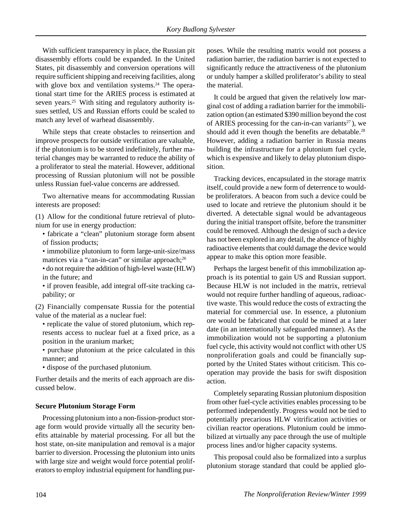With sufficient transparency in place, the Russian pit disassembly efforts could be expanded. In the United States, pit disassembly and conversion operations will require sufficient shipping and receiving facilities, along with glove box and ventilation systems. $24$  The operational start time for the ARIES process is estimated at seven years.<sup>25</sup> With siting and regulatory authority issues settled, US and Russian efforts could be scaled to match any level of warhead disassembly.

While steps that create obstacles to reinsertion and improve prospects for outside verification are valuable, if the plutonium is to be stored indefinitely, further material changes may be warranted to reduce the ability of a proliferator to steal the material. However, additional processing of Russian plutonium will not be possible unless Russian fuel-value concerns are addressed.

Two alternative means for accommodating Russian interests are proposed:

(1) Allow for the conditional future retrieval of plutonium for use in energy production:

• fabricate a "clean" plutonium storage form absent of fission products;

• immobilize plutonium to form large-unit-size/mass matrices via a "can-in-can" or similar approach;<sup>26</sup>

• do not require the addition of high-level waste (HLW) in the future; and

• if proven feasible, add integral off-site tracking capability; or

(2) Financially compensate Russia for the potential value of the material as a nuclear fuel:

• replicate the value of stored plutonium, which represents access to nuclear fuel at a fixed price, as a position in the uranium market;

• purchase plutonium at the price calculated in this manner; and

• dispose of the purchased plutonium.

Further details and the merits of each approach are discussed below.

## **Secure Plutonium Storage Form**

Processing plutonium into a non-fission-product storage form would provide virtually all the security benefits attainable by material processing. For all but the host state, on-site manipulation and removal is a major barrier to diversion. Processing the plutonium into units with large size and weight would force potential proliferators to employ industrial equipment for handling purposes. While the resulting matrix would not possess a radiation barrier, the radiation barrier is not expected to significantly reduce the attractiveness of the plutonium or unduly hamper a skilled proliferator's ability to steal the material.

It could be argued that given the relatively low marginal cost of adding a radiation barrier for the immobilization option (an estimated \$390 million beyond the cost of ARIES processing for the can-in-can variants<sup>27</sup>), we should add it even though the benefits are debatable.<sup>28</sup> However, adding a radiation barrier in Russia means building the infrastructure for a plutonium fuel cycle, which is expensive and likely to delay plutonium disposition.

Tracking devices, encapsulated in the storage matrix itself, could provide a new form of deterrence to wouldbe proliferators. A beacon from such a device could be used to locate and retrieve the plutonium should it be diverted. A detectable signal would be advantageous during the initial transport offsite, before the transmitter could be removed. Although the design of such a device has not been explored in any detail, the absence of highly radioactive elements that could damage the device would appear to make this option more feasible.

Perhaps the largest benefit of this immobilization approach is its potential to gain US and Russian support. Because HLW is not included in the matrix, retrieval would not require further handling of aqueous, radioactive waste. This would reduce the costs of extracting the material for commercial use. In essence, a plutonium ore would be fabricated that could be mined at a later date (in an internationally safeguarded manner). As the immobilization would not be supporting a plutonium fuel cycle, this activity would not conflict with other US nonproliferation goals and could be financially supported by the United States without criticism. This cooperation may provide the basis for swift disposition action.

Completely separating Russian plutonium disposition from other fuel-cycle activities enables processing to be performed independently. Progress would not be tied to potentially precarious HLW vitrification activities or civilian reactor operations. Plutonium could be immobilized at virtually any pace through the use of multiple process lines and/or higher capacity systems.

This proposal could also be formalized into a surplus plutonium storage standard that could be applied glo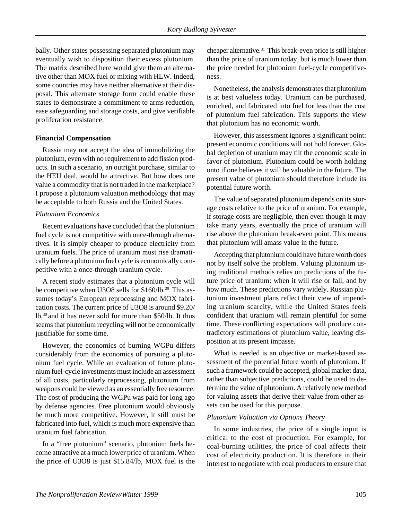bally. Other states possessing separated plutonium may eventually wish to disposition their excess plutonium. The matrix described here would give them an alternative other than MOX fuel or mixing with HLW. Indeed, some countries may have neither alternative at their disposal. This alternate storage form could enable these states to demonstrate a commitment to arms reduction, ease safeguarding and storage costs, and give verifiable proliferation resistance.

#### **Financial Compensation**

Russia may not accept the idea of immobilizing the plutonium, even with no requirement to add fission products. In such a scenario, an outright purchase, similar to the HEU deal, would be attractive. But how does one value a commodity that is not traded in the marketplace? I propose a plutonium valuation methodology that may be acceptable to both Russia and the United States.

#### *Plutonium Economics*

Recent evaluations have concluded that the plutonium fuel cycle is not competitive with once-through alternatives. It is simply cheaper to produce electricity from uranium fuels. The price of uranium must rise dramatically before a plutonium fuel cycle is economically competitive with a once-through uranium cycle.

A recent study estimates that a plutonium cycle will be competitive when U3O8 sells for \$160/lb.<sup>29</sup> This assumes today's European reprocessing and MOX fabrication costs. The current price of U3O8 is around \$9.20/ lb,30 and it has never sold for more than \$50/lb. It thus seems that plutonium recycling will not be economically justifiable for some time.

However, the economics of burning WGPu differs considerably from the economics of pursuing a plutonium fuel cycle. While an evaluation of future plutonium fuel-cycle investments must include an assessment of all costs, particularly reprocessing, plutonium from weapons could be viewed as an essentially free resource. The cost of producing the WGPu was paid for long ago by defense agencies. Free plutonium would obviously be much more competitive. However, it still must be fabricated into fuel, which is much more expensive than uranium fuel fabrication.

In a "free plutonium" scenario, plutonium fuels become attractive at a much lower price of uranium. When the price of U3O8 is just \$15.84/lb, MOX fuel is the cheaper alternative.31 This break-even price is still higher than the price of uranium today, but is much lower than the price needed for plutonium fuel-cycle competitiveness.

Nonetheless, the analysis demonstrates that plutonium is at best valueless today. Uranium can be purchased, enriched, and fabricated into fuel for less than the cost of plutonium fuel fabrication. This supports the view that plutonium has no economic worth.

However, this assessment ignores a significant point: present economic conditions will not hold forever. Global depletion of uranium may tilt the economic scale in favor of plutonium. Plutonium could be worth holding onto if one believes it will be valuable in the future. The present value of plutonium should therefore include its potential future worth.

The value of separated plutonium depends on its storage costs relative to the price of uranium. For example, if storage costs are negligible, then even though it may take many years, eventually the price of uranium will rise above the plutonium break-even point. This means that plutonium will amass value in the future.

Accepting that plutonium could have future worth does not by itself solve the problem. Valuing plutonium using traditional methods relies on predictions of the future price of uranium: when it will rise or fall, and by how much. These predictions vary widely. Russian plutonium investment plans reflect their view of impending uranium scarcity, while the United States feels confident that uranium will remain plentiful for some time. These conflicting expectations will produce contradictory estimations of plutonium value, leaving disposition at its present impasse.

What is needed is an objective or market-based assessment of the potential future worth of plutonium. If such a framework could be accepted, global market data, rather than subjective predictions, could be used to determine the value of plutonium. A relatively new method for valuing assets that derive their value from other assets can be used for this purpose.

#### *Plutonium Valuation via Options Theory*

In some industries, the price of a single input is critical to the cost of production. For example, for coal-burning utilities, the price of coal affects their cost of electricity production. It is therefore in their interest to negotiate with coal producers to ensure that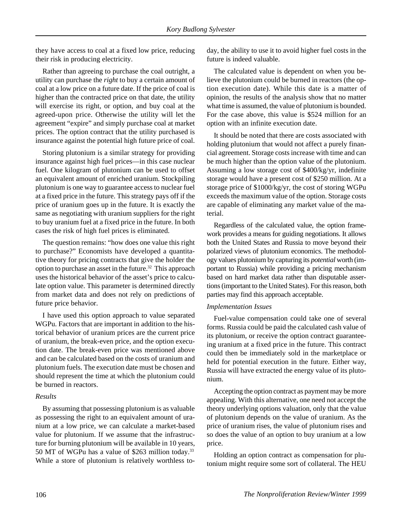they have access to coal at a fixed low price, reducing their risk in producing electricity.

Rather than agreeing to purchase the coal outright, a utility can purchase the *right* to buy a certain amount of coal at a low price on a future date. If the price of coal is higher than the contracted price on that date, the utility will exercise its right, or option, and buy coal at the agreed-upon price. Otherwise the utility will let the agreement "expire" and simply purchase coal at market prices. The option contract that the utility purchased is insurance against the potential high future price of coal.

Storing plutonium is a similar strategy for providing insurance against high fuel prices—in this case nuclear fuel. One kilogram of plutonium can be used to offset an equivalent amount of enriched uranium. Stockpiling plutonium is one way to guarantee access to nuclear fuel at a fixed price in the future. This strategy pays off if the price of uranium goes up in the future. It is exactly the same as negotiating with uranium suppliers for the right to buy uranium fuel at a fixed price in the future. In both cases the risk of high fuel prices is eliminated.

The question remains: "how does one value this right to purchase?" Economists have developed a quantitative theory for pricing contracts that give the holder the option to purchase an asset in the future.32 This approach uses the historical behavior of the asset's price to calculate option value. This parameter is determined directly from market data and does not rely on predictions of future price behavior.

I have used this option approach to value separated WGPu. Factors that are important in addition to the historical behavior of uranium prices are the current price of uranium, the break-even price, and the option execution date. The break-even price was mentioned above and can be calculated based on the costs of uranium and plutonium fuels. The execution date must be chosen and should represent the time at which the plutonium could be burned in reactors.

## *Results*

By assuming that possessing plutonium is as valuable as possessing the right to an equivalent amount of uranium at a low price, we can calculate a market-based value for plutonium. If we assume that the infrastructure for burning plutonium will be available in 10 years, 50 MT of WGPu has a value of \$263 million today.33 While a store of plutonium is relatively worthless today, the ability to use it to avoid higher fuel costs in the future is indeed valuable.

The calculated value is dependent on when you believe the plutonium could be burned in reactors (the option execution date). While this date is a matter of opinion, the results of the analysis show that no matter what time is assumed, the value of plutonium is bounded. For the case above, this value is \$524 million for an option with an infinite execution date.

It should be noted that there are costs associated with holding plutonium that would not affect a purely financial agreement. Storage costs increase with time and can be much higher than the option value of the plutonium. Assuming a low storage cost of \$400/kg/yr, indefinite storage would have a present cost of \$250 million. At a storage price of \$1000/kg/yr, the cost of storing WGPu exceeds the maximum value of the option. Storage costs are capable of eliminating any market value of the material.

Regardless of the calculated value, the option framework provides a means for guiding negotiations. It allows both the United States and Russia to move beyond their polarized views of plutonium economics. The methodology values plutonium by capturing its *potential* worth (important to Russia) while providing a pricing mechanism based on hard market data rather than disputable assertions (important to the United States). For this reason, both parties may find this approach acceptable.

# *Implementation Issues*

Fuel-value compensation could take one of several forms. Russia could be paid the calculated cash value of its plutonium, or receive the option contract guaranteeing uranium at a fixed price in the future. This contract could then be immediately sold in the marketplace or held for potential execution in the future. Either way, Russia will have extracted the energy value of its plutonium.

Accepting the option contract as payment may be more appealing. With this alternative, one need not accept the theory underlying options valuation, only that the value of plutonium depends on the value of uranium. As the price of uranium rises, the value of plutonium rises and so does the value of an option to buy uranium at a low price.

Holding an option contract as compensation for plutonium might require some sort of collateral. The HEU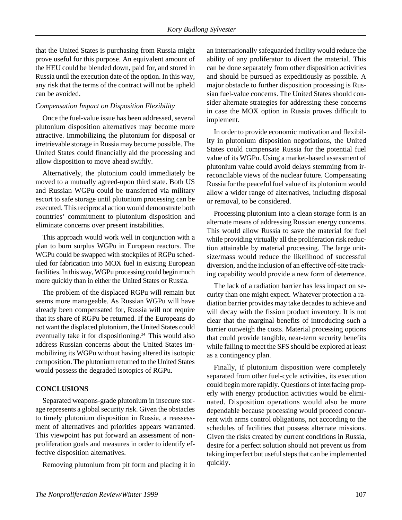that the United States is purchasing from Russia might prove useful for this purpose. An equivalent amount of the HEU could be blended down, paid for, and stored in Russia until the execution date of the option. In this way, any risk that the terms of the contract will not be upheld can be avoided.

#### *Compensation Impact on Disposition Flexibility*

Once the fuel-value issue has been addressed, several plutonium disposition alternatives may become more attractive. Immobilizing the plutonium for disposal or irretrievable storage in Russia may become possible. The United States could financially aid the processing and allow disposition to move ahead swiftly.

Alternatively, the plutonium could immediately be moved to a mutually agreed-upon third state. Both US and Russian WGPu could be transferred via military escort to safe storage until plutonium processing can be executed. This reciprocal action would demonstrate both countries' commitment to plutonium disposition and eliminate concerns over present instabilities.

This approach would work well in conjunction with a plan to burn surplus WGPu in European reactors. The WGPu could be swapped with stockpiles of RGPu scheduled for fabrication into MOX fuel in existing European facilities. In this way, WGPu processing could begin much more quickly than in either the United States or Russia.

The problem of the displaced RGPu will remain but seems more manageable. As Russian WGPu will have already been compensated for, Russia will not require that its share of RGPu be returned. If the Europeans do not want the displaced plutonium, the United States could eventually take it for dispositioning.<sup>34</sup> This would also address Russian concerns about the United States immobilizing its WGPu without having altered its isotopic composition. The plutonium returned to the United States would possess the degraded isotopics of RGPu.

#### **CONCLUSIONS**

Separated weapons-grade plutonium in insecure storage represents a global security risk. Given the obstacles to timely plutonium disposition in Russia, a reassessment of alternatives and priorities appears warranted. This viewpoint has put forward an assessment of nonproliferation goals and measures in order to identify effective disposition alternatives.

Removing plutonium from pit form and placing it in

an internationally safeguarded facility would reduce the ability of any proliferator to divert the material. This can be done separately from other disposition activities and should be pursued as expeditiously as possible. A major obstacle to further disposition processing is Russian fuel-value concerns. The United States should consider alternate strategies for addressing these concerns in case the MOX option in Russia proves difficult to implement.

In order to provide economic motivation and flexibility in plutonium disposition negotiations, the United States could compensate Russia for the potential fuel value of its WGPu. Using a market-based assessment of plutonium value could avoid delays stemming from irreconcilable views of the nuclear future. Compensating Russia for the peaceful fuel value of its plutonium would allow a wider range of alternatives, including disposal or removal, to be considered.

Processing plutonium into a clean storage form is an alternate means of addressing Russian energy concerns. This would allow Russia to save the material for fuel while providing virtually all the proliferation risk reduction attainable by material processing. The large unitsize/mass would reduce the likelihood of successful diversion, and the inclusion of an effective off-site tracking capability would provide a new form of deterrence.

The lack of a radiation barrier has less impact on security than one might expect. Whatever protection a radiation barrier provides may take decades to achieve and will decay with the fission product inventory. It is not clear that the marginal benefits of introducing such a barrier outweigh the costs. Material processing options that could provide tangible, near-term security benefits while failing to meet the SFS should be explored at least as a contingency plan.

Finally, if plutonium disposition were completely separated from other fuel-cycle activities, its execution could begin more rapidly. Questions of interfacing properly with energy production activities would be eliminated. Disposition operations would also be more dependable because processing would proceed concurrent with arms control obligations, not according to the schedules of facilities that possess alternate missions. Given the risks created by current conditions in Russia, desire for a perfect solution should not prevent us from taking imperfect but useful steps that can be implemented quickly.